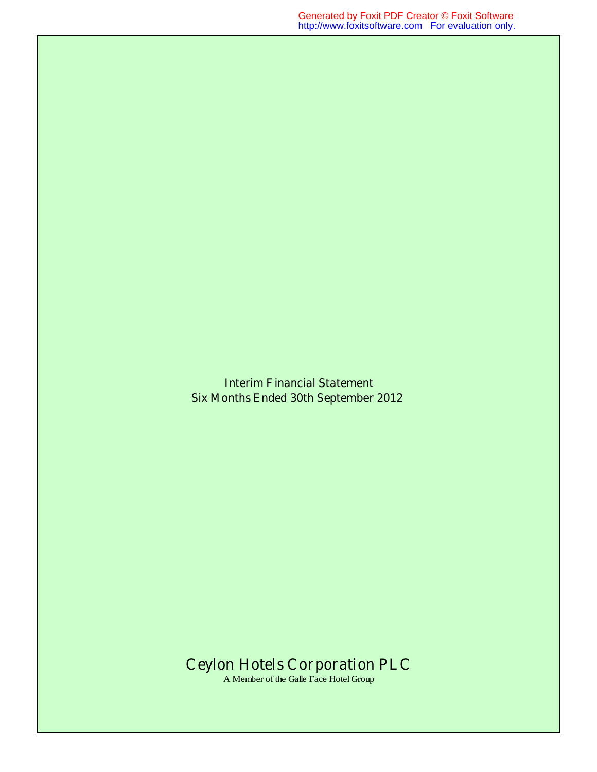**Interim Financial Statement Six Months Ended 30th September 2012** 

## **Ceylon Hotels Corporation PLC**

A Member of the Galle Face Hotel Group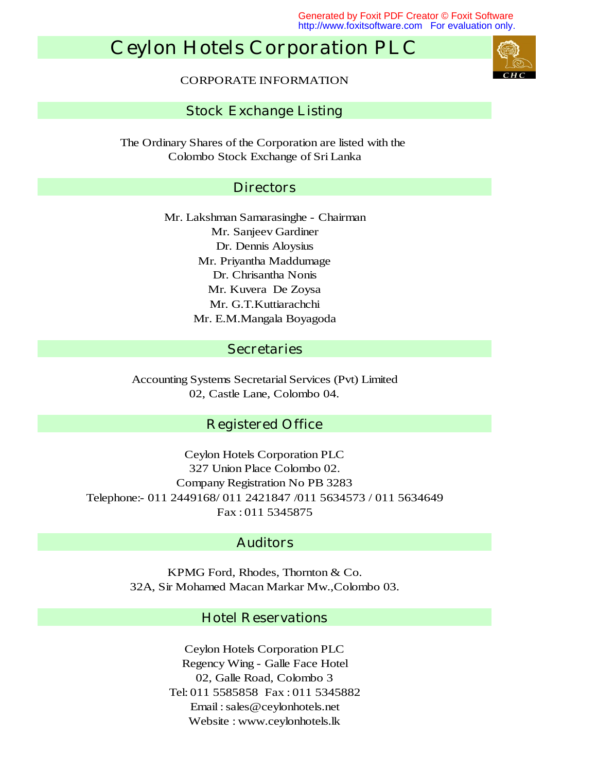Generated by Foxit PDF Creator © Foxit Software http://www.foxitsoftware.com For evaluation only.

## **Ceylon Hotels Corporation PLC**



CORPORATE INFORMATION

#### **Stock Exchange Listing**

Colombo Stock Exchange of Sri Lanka The Ordinary Shares of the Corporation are listed with the

#### **Directors**

Mr. E.M.Mangala Boyagoda Mr. G.T.Kuttiarachchi Mr. Lakshman Samarasinghe - Chairman Mr. Kuvera De Zoysa Mr. Priyantha Maddumage Dr. Chrisantha Nonis Mr. Sanjeev Gardiner Dr. Dennis Aloysius

#### **Secretaries**

Accounting Systems Secretarial Services (Pvt) Limited 02, Castle Lane, Colombo 04.

#### **Registered Office**

327 Union Place Colombo 02. Company Registration No PB 3283 Ceylon Hotels Corporation PLC Fax : 011 5345875 Telephone:- 011 2449168/ 011 2421847 /011 5634573 / 011 5634649

#### **Auditors**

32A, Sir Mohamed Macan Markar Mw.,Colombo 03. KPMG Ford, Rhodes, Thornton & Co.

#### **Hotel Reservations**

Website : www.ceylonhotels.lk Ceylon Hotels Corporation PLC Regency Wing - Galle Face Hotel 02, Galle Road, Colombo 3 Tel: 011 5585858 Fax : 011 5345882 Email : sales@ceylonhotels.net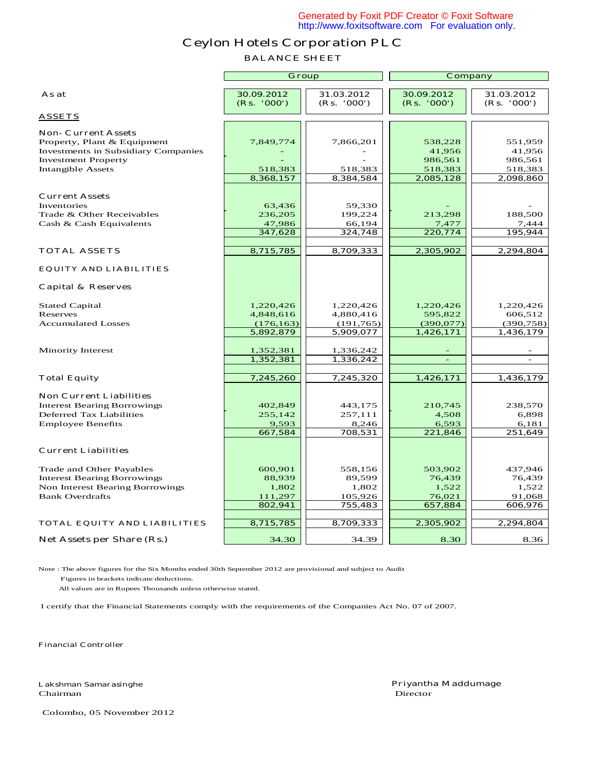#### **BALANCE SHEET**

|                                                                       | Group                     |                           | Company                   |                           |  |
|-----------------------------------------------------------------------|---------------------------|---------------------------|---------------------------|---------------------------|--|
| As at                                                                 | 30.09.2012<br>(Rs. '000') | 31.03.2012<br>(Rs. '000') | 30.09.2012<br>(Rs. '000') | 31.03.2012<br>(Rs. '000') |  |
| <b>ASSETS</b>                                                         |                           |                           |                           |                           |  |
| <b>Non- Current Assets</b>                                            |                           |                           |                           |                           |  |
| Property, Plant & Equipment                                           | 7,849,774                 | 7,866,201                 | 538,228                   | 551,959                   |  |
| <b>Investments in Subsidiary Companies</b>                            |                           |                           | 41,956                    | 41,956                    |  |
| <b>Investment Property</b>                                            |                           |                           | 986,561                   | 986,561                   |  |
| <b>Intangible Assets</b>                                              | 518,383                   | 518,383                   | 518,383                   | 518,383                   |  |
|                                                                       | 8,368,157                 | 8,384,584                 | 2,085,128                 | 2,098,860                 |  |
| <b>Current Assets</b>                                                 |                           |                           |                           |                           |  |
| Inventories                                                           | 63,436                    | 59,330                    |                           |                           |  |
| Trade & Other Receivables                                             | 236,205                   | 199,224                   | 213,298                   | 188,500                   |  |
| Cash & Cash Equivalents                                               | 47,986                    | 66,194                    | 7,477                     | 7,444                     |  |
|                                                                       | 347,628                   | 324,748                   | 220,774                   | 195,944                   |  |
|                                                                       |                           |                           |                           |                           |  |
| <b>TOTAL ASSETS</b>                                                   | 8,715,785                 | 8,709,333                 | 2,305,902                 | 2,294,804                 |  |
| <b>EQUITY AND LIABILITIES</b>                                         |                           |                           |                           |                           |  |
| <b>Capital &amp; Reserves</b>                                         |                           |                           |                           |                           |  |
| <b>Stated Capital</b>                                                 | 1,220,426                 | 1,220,426                 | 1,220,426                 | 1,220,426                 |  |
| Reserves                                                              | 4,848,616                 | 4,880,416                 | 595,822                   | 606,512                   |  |
| <b>Accumulated Losses</b>                                             | (176, 163)                | (191, 765)                | (390,077)                 | (390, 758)                |  |
|                                                                       | 5,892,879                 | 5,909,077                 | 1,426,171                 | 1,436,179                 |  |
|                                                                       |                           |                           |                           |                           |  |
| <b>Minority Interest</b>                                              | 1,352,381<br>1,352,381    | 1,336,242<br>1,336,242    | $\blacksquare$            | $\blacksquare$            |  |
|                                                                       |                           |                           |                           |                           |  |
| <b>Total Equity</b>                                                   | 7,245,260                 | 7,245,320                 | 1,426,171                 | 1,436,179                 |  |
|                                                                       |                           |                           |                           |                           |  |
| <b>Non Current Liabilities</b>                                        |                           |                           |                           |                           |  |
| <b>Interest Bearing Borrowings</b><br><b>Deferred Tax Liabilities</b> | 402,849<br>255,142        | 443,175<br>257,111        | 210,745<br>4,508          | 238,570<br>6,898          |  |
| <b>Employee Benefits</b>                                              | 9,593                     | 8,246                     | 6,593                     | 6,181                     |  |
|                                                                       | 667,584                   | 708,531                   | 221,846                   | 251,649                   |  |
| <b>Current Liabilities</b>                                            |                           |                           |                           |                           |  |
|                                                                       |                           |                           |                           |                           |  |
| Trade and Other Payables                                              | 600,901                   | 558,156                   | 503,902                   | 437,946                   |  |
| <b>Interest Bearing Borrowings</b>                                    | 88,939                    | 89,599                    | 76,439                    | 76,439                    |  |
| Non Interest Bearing Borrowings                                       | 1,802                     | 1,802                     | 1,522                     | 1,522                     |  |
| <b>Bank Overdrafts</b>                                                | 111,297                   | 105,926                   | 76,021                    | 91,068                    |  |
|                                                                       | 802,941                   | 755,483                   | 657,884                   | 606,976                   |  |
| <b>TOTAL EQUITY AND LIABILITIES</b>                                   | 8,715,785                 | 8,709,333                 | 2,305,902                 | 2,294,804                 |  |
|                                                                       |                           |                           |                           |                           |  |
| Net Assets per Share (Rs.)                                            | 34.30                     | 34.39                     | 8.30                      | 8.36                      |  |

Note : The above figures for the Six Months ended 30th September 2012 are provisional and subject to Audit Figures in brackets indicate deductions.

All values are in Rupees Thousands unless otherwise stated.

I certify that the Financial Statements comply with the requirements of the Companies Act No. 07 of 2007.

**Financial Controller**

Chairman Director

**Lakshman Samarasinghe Priyantha Maddumage**

Colombo, 05 November 2012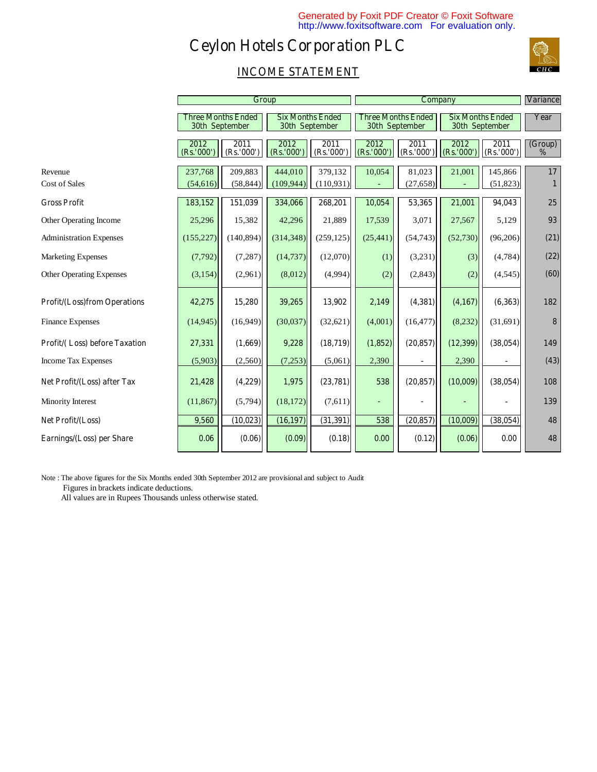

## **INCOME STATEMENT**

|                                      |                    | Group                                              |                                           |                    | <b>Company</b>                                     |                    |                                           |                   | <b>Variance</b>          |
|--------------------------------------|--------------------|----------------------------------------------------|-------------------------------------------|--------------------|----------------------------------------------------|--------------------|-------------------------------------------|-------------------|--------------------------|
|                                      |                    | <b>Three Months Ended</b><br><b>30th September</b> | <b>Six Months Ended</b><br>30th September |                    | <b>Three Months Ended</b><br><b>30th September</b> |                    | <b>Six Months Ended</b><br>30th September |                   | Year                     |
|                                      | 2012<br>(Rs.'000') | 2011<br>(Rs.'000')                                 | 2012<br>(Rs.'000'                         | 2011<br>(Rs.'000') | 2012<br>(Rs.'000'                                  | 2011<br>(Rs.'000') | 2012<br>(Rs.'000')                        | 2011<br>(Rs.'000' | (Group)<br>$\frac{0}{0}$ |
| Revenue                              | 237,768            | 209,883                                            | 444,010                                   | 379,132            | 10,054                                             | 81,023             | 21,001                                    | 145,866           | 17                       |
| <b>Cost of Sales</b>                 | (54, 616)          | (58, 844)                                          | (109, 944)                                | (110, 931)         |                                                    | (27, 658)          |                                           | (51, 823)         | $\mathbf{1}$             |
| <b>Gross Profit</b>                  | 183,152            | 151,039                                            | 334,066                                   | 268,201            | 10,054                                             | 53,365             | 21,001                                    | 94,043            | 25                       |
| Other Operating Income               | 25,296             | 15,382                                             | 42,296                                    | 21,889             | 17,539                                             | 3,071              | 27,567                                    | 5,129             | 93                       |
| <b>Administration Expenses</b>       | (155, 227)         | (140, 894)                                         | (314, 348)                                | (259, 125)         | (25, 441)                                          | (54, 743)          | (52,730)                                  | (96,206)          | (21)                     |
| <b>Marketing Expenses</b>            | (7,792)            | (7, 287)                                           | (14, 737)                                 | (12,070)           | (1)                                                | (3,231)            | (3)                                       | (4,784)           | (22)                     |
| <b>Other Operating Expenses</b>      | (3, 154)           | (2,961)                                            | (8,012)                                   | (4,994)            | (2)                                                | (2,843)            | (2)                                       | (4,545)           | (60)                     |
| <b>Profit/(Loss)from Operations</b>  | 42,275             | 15,280                                             | 39,265                                    | 13,902             | 2,149                                              | (4,381)            | (4,167)                                   | (6,363)           | 182                      |
| <b>Finance Expenses</b>              | (14, 945)          | (16,949)                                           | (30,037)                                  | (32, 621)          | (4,001)                                            | (16, 477)          | (8,232)                                   | (31,691)          | 8                        |
| <b>Profit/(Loss) before Taxation</b> | 27,331             | (1,669)                                            | 9,228                                     | (18, 719)          | (1,852)                                            | (20, 857)          | (12, 399)                                 | (38, 054)         | 149                      |
| <b>Income Tax Expenses</b>           | (5,903)            | (2,560)                                            | (7,253)                                   | (5,061)            | 2,390                                              |                    | 2,390                                     |                   | (43)                     |
| Net Profit/(Loss) after Tax          | 21,428             | (4,229)                                            | 1,975                                     | (23,781)           | 538                                                | (20, 857)          | (10,009)                                  | (38, 054)         | 108                      |
| Minority Interest                    | (11, 867)          | (5,794)                                            | (18, 172)                                 | (7,611)            |                                                    |                    |                                           |                   | 139                      |
| Net Profit/(Loss)                    | 9,560              | (10, 023)                                          | (16, 197)                                 | (31, 391)          | 538                                                | (20, 857)          | (10,009)                                  | (38, 054)         | 48                       |
| Earnings/(Loss) per Share            | 0.06               | (0.06)                                             | (0.09)                                    | (0.18)             | 0.00                                               | (0.12)             | (0.06)                                    | 0.00              | 48                       |

Note : The above figures for the Six Months ended 30th September 2012 are provisional and subject to Audit

Figures in brackets indicate deductions.

All values are in Rupees Thousands unless otherwise stated.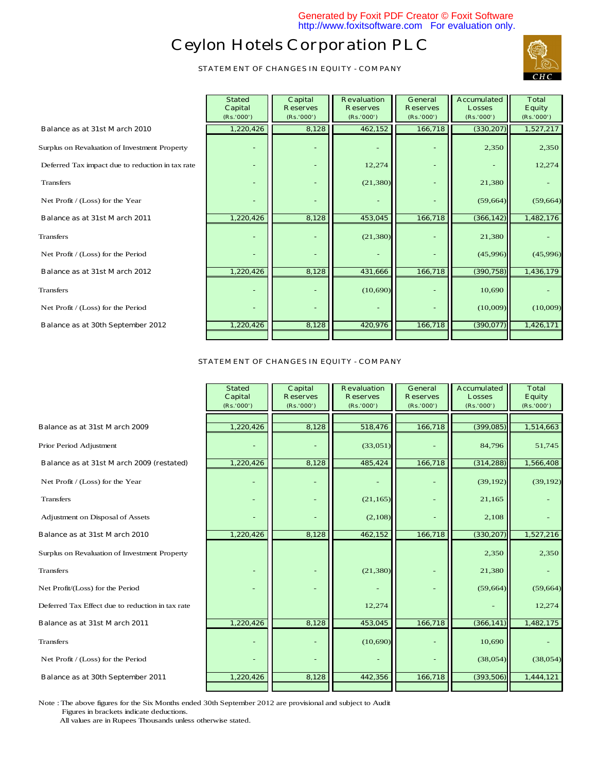**STATEMENT OF CHANGES IN EQUITY - COMPANY**



|                                                  | (Rs.'000') | (Rs. |
|--------------------------------------------------|------------|------|
| <b>Balance as at 31st March 2010</b>             | 1,220,426  |      |
| Surplus on Revaluation of Investment Property    |            |      |
| Deferred Tax impact due to reduction in tax rate |            |      |
| <b>Transfers</b>                                 |            |      |
| Net Profit / (Loss) for the Year                 |            |      |
| Balance as at 31st March 2011                    | 1,220,426  |      |
| <b>Transfers</b>                                 |            |      |
| Net Profit / (Loss) for the Period               |            |      |
| Balance as at 31st March 2012                    | 1,220,426  |      |
| <b>Transfers</b>                                 |            |      |
| Net Profit / (Loss) for the Period               |            |      |
| Balance as at 30th September 2012                | 1,220,426  |      |
|                                                  |            |      |
|                                                  |            |      |

|                                                  | <b>Stated</b><br>Capital<br>(Rs.'000') | Capital<br><b>Reserves</b><br>(Rs.'000') | <b>Revaluation</b><br><b>Reserves</b><br>(Rs.'000') | <b>General</b><br><b>Reserves</b><br>(Rs.'000') | <b>Accumulated</b><br><b>Losses</b><br>(Rs.'000') | <b>Total</b><br><b>Equity</b><br>(Rs.'000') |
|--------------------------------------------------|----------------------------------------|------------------------------------------|-----------------------------------------------------|-------------------------------------------------|---------------------------------------------------|---------------------------------------------|
| <b>Balance as at 31st March 2010</b>             | 1,220,426                              | 8,128                                    | 462,152                                             | 166,718                                         | (330, 207)                                        | 1,527,217                                   |
| Surplus on Revaluation of Investment Property    |                                        |                                          |                                                     |                                                 | 2,350                                             | 2,350                                       |
| Deferred Tax impact due to reduction in tax rate |                                        |                                          | 12,274                                              |                                                 |                                                   | 12,274                                      |
| <b>Transfers</b>                                 |                                        |                                          | (21, 380)                                           |                                                 | 21,380                                            |                                             |
| Net Profit / (Loss) for the Year                 |                                        |                                          |                                                     |                                                 | (59, 664)                                         | (59, 664)                                   |
| <b>Balance as at 31st March 2011</b>             | 1,220,426                              | 8,128                                    | 453,045                                             | 166,718                                         | (366, 142)                                        | 1,482,176                                   |
| <b>Transfers</b>                                 |                                        |                                          | (21, 380)                                           |                                                 | 21,380                                            |                                             |
| Net Profit / (Loss) for the Period               |                                        |                                          |                                                     |                                                 | (45,996)                                          | (45,996)                                    |
| Balance as at 31st March 2012                    | 1,220,426                              | 8,128                                    | 431,666                                             | 166,718                                         | (390, 758)                                        | 1,436,179                                   |
| <b>Transfers</b>                                 |                                        |                                          | (10,690)                                            |                                                 | 10,690                                            |                                             |
| Net Profit / (Loss) for the Period               |                                        |                                          |                                                     |                                                 | (10,009)                                          | (10,009)                                    |
| <b>Balance as at 30th September 2012</b>         | 1,220,426                              | 8,128                                    | 420,976                                             | 166,718                                         | (390, 077)                                        | 1,426,171                                   |
|                                                  |                                        |                                          |                                                     |                                                 |                                                   |                                             |

**STATEMENT OF CHANGES IN EQUITY - COMPANY**

| <b>Stated</b><br>Capital<br>(Rs.'000') | Capital<br><b>Reserves</b><br>(Rs.'000') | <b>Revaluation</b><br><b>Reserves</b><br>(Rs.'000') | <b>General</b><br><b>Reserves</b><br>(Rs.'000') | <b>Accumulated</b><br><b>Losses</b><br>(Rs.'000') | <b>Total</b><br><b>Equity</b><br>(Rs. '000') |
|----------------------------------------|------------------------------------------|-----------------------------------------------------|-------------------------------------------------|---------------------------------------------------|----------------------------------------------|
| 1,220,426                              | 8,128                                    | 518,476                                             | 166,718                                         | (399, 085)                                        | 1,514,663                                    |
|                                        |                                          | (33,051)                                            |                                                 | 84,796                                            | 51,745                                       |
| 1,220,426                              | 8,128                                    | 485,424                                             | 166,718                                         | (314, 288)                                        | 1,566,408                                    |
|                                        |                                          |                                                     |                                                 |                                                   | (39, 192)                                    |
|                                        |                                          | (21, 165)                                           |                                                 | 21,165                                            |                                              |
|                                        |                                          | (2,108)                                             |                                                 | 2,108                                             |                                              |
| 1,220,426                              | 8,128                                    | 462,152                                             | 166,718                                         | (330, 207)                                        | 1,527,216                                    |
|                                        |                                          |                                                     |                                                 | 2,350                                             | 2,350                                        |
|                                        |                                          | (21, 380)                                           |                                                 | 21,380                                            |                                              |
|                                        |                                          |                                                     |                                                 |                                                   | (59, 664)                                    |
|                                        |                                          | 12,274                                              |                                                 |                                                   | 12,274                                       |
| 1,220,426                              | 8,128                                    | 453,045                                             | 166,718                                         | (366, 141)                                        | 1,482,175                                    |
|                                        |                                          | (10,690)                                            |                                                 | 10,690                                            |                                              |
|                                        |                                          |                                                     |                                                 |                                                   | (38,054)                                     |
| 1,220,426                              | 8,128                                    | 442,356                                             | 166,718                                         | (393, 506)                                        | 1,444,121                                    |
|                                        |                                          |                                                     |                                                 |                                                   | (39, 192)<br>(59, 664)<br>(38,054)           |

Note : The above figures for the Six Months ended 30th September 2012 are provisional and subject to Audit Figures in brackets indicate deductions.

All values are in Rupees Thousands unless otherwise stated.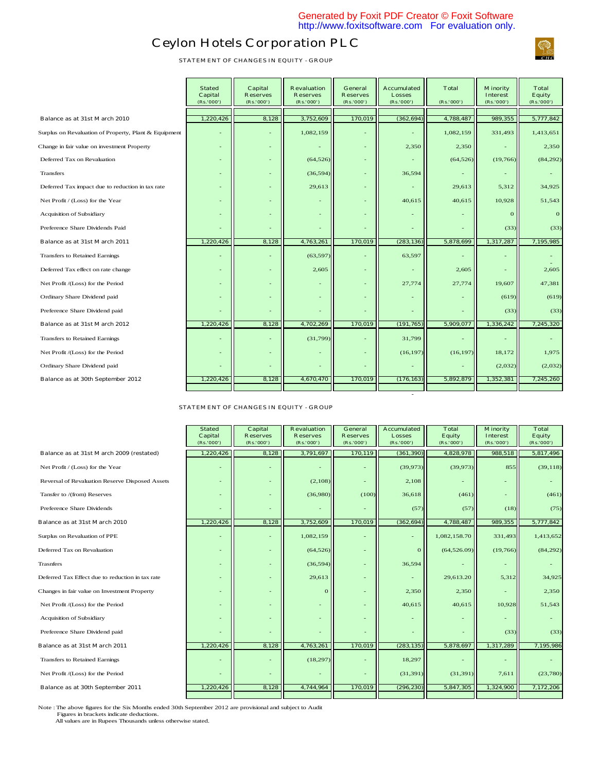- 1990 - 1990 - 1990 - 1990 - 1990 - 1990 - 1990 - 1990 - 1990 - 1990 - 1990 - 1990 - 1990 - 1990 - 1990 - 199

## **Ceylon Hotels Corporation PLC**

**STATEMENT OF CHANGES IN EQUITY - GROUP**

|                                                       | <b>Stated</b><br><b>Capital</b><br>(Rs. '000') | <b>Capital</b><br><b>Reserves</b><br>(Rs.'000') | <b>Revaluation</b><br><b>Reserves</b><br>(Rs.'000') | General<br><b>Reserves</b><br>(Rs.'000') | <b>Accumulated</b><br><b>Losses</b><br>(Rs.'000') | <b>Total</b><br>(Rs.'000') | <b>Minority</b><br><b>Interest</b><br>(Rs, '000') | <b>Total</b><br><b>Equity</b><br>(Rs.'000') |
|-------------------------------------------------------|------------------------------------------------|-------------------------------------------------|-----------------------------------------------------|------------------------------------------|---------------------------------------------------|----------------------------|---------------------------------------------------|---------------------------------------------|
| Balance as at 31st March 2010                         | 1,220,426                                      | 8,128                                           | 3,752,609                                           | 170,019                                  | (362, 694)                                        | 4,788,487                  | 989,355                                           | 5,777,842                                   |
|                                                       |                                                |                                                 |                                                     |                                          |                                                   |                            |                                                   |                                             |
| Surplus on Revaluation of Property, Plant & Equipment |                                                |                                                 | 1,082,159                                           |                                          |                                                   | 1,082,159                  | 331,493                                           | 1,413,651                                   |
| Change in fair value on investment Property           | $\overline{\phantom{a}}$                       |                                                 |                                                     |                                          | 2,350                                             | 2,350                      |                                                   | 2,350                                       |
| Deferred Tax on Revaluation                           | $\overline{a}$                                 |                                                 | (64, 526)                                           |                                          |                                                   | (64, 526)                  | (19,766)                                          | (84, 292)                                   |
| <b>Transfers</b>                                      | $\overline{\phantom{0}}$                       |                                                 | (36, 594)                                           |                                          | 36,594                                            |                            |                                                   |                                             |
| Deferred Tax impact due to reduction in tax rate      | $\overline{\phantom{a}}$                       |                                                 | 29,613                                              |                                          |                                                   | 29,613                     | 5,312                                             | 34.925                                      |
| Net Profit / (Loss) for the Year                      |                                                |                                                 |                                                     |                                          | 40,615                                            | 40,615                     | 10,928                                            | 51,543                                      |
| Acquisition of Subsidiary                             |                                                |                                                 |                                                     |                                          |                                                   |                            | $\Omega$                                          | $\overline{0}$                              |
| Preference Share Dividends Paid                       |                                                |                                                 |                                                     |                                          |                                                   |                            | (33)                                              | (33)                                        |
| Balance as at 31st March 2011                         | 1,220,426                                      | 8,128                                           | 4,763,261                                           | 170,019                                  | (283, 136)                                        | 5,878,699                  | 1,317,287                                         | 7,195,985                                   |
| Transfers to Retained Earnings                        | ۳                                              |                                                 | (63, 597)                                           |                                          | 63,597                                            |                            |                                                   |                                             |
| Deferred Tax effect on rate change                    | $\overline{\phantom{a}}$                       |                                                 | 2,605                                               |                                          |                                                   | 2,605                      |                                                   | 2,605                                       |
| Net Profit /(Loss) for the Period                     |                                                |                                                 |                                                     |                                          | 27,774                                            | 27,774                     | 19,607                                            | 47,381                                      |
| Ordinary Share Dividend paid                          |                                                |                                                 |                                                     |                                          |                                                   |                            | (619)                                             | (619)                                       |
| Preference Share Dividend paid                        | ٠                                              |                                                 |                                                     |                                          |                                                   |                            | (33)                                              | (33)                                        |
| Balance as at 31st March 2012                         | 1,220,426                                      | 8,128                                           | 4,702,269                                           | 170,019                                  | (191, 765)                                        | 5,909,077                  | 1,336,242                                         | 7,245,320                                   |
| Transfers to Retained Earnings                        | ٠                                              |                                                 | (31, 799)                                           |                                          | 31,799                                            |                            |                                                   |                                             |
| Net Profit /(Loss) for the Period                     | ٠                                              |                                                 |                                                     |                                          | (16, 197)                                         | (16, 197)                  | 18,172                                            | 1,975                                       |
| Ordinary Share Dividend paid                          |                                                |                                                 |                                                     |                                          |                                                   |                            | (2,032)                                           | (2,032)                                     |
| Balance as at 30th September 2012                     | 1,220,426                                      | 8,128                                           | 4,670,470                                           | 170,019                                  | (176, 163)                                        | 5,892,879                  | 1,352,381                                         | 7,245,260                                   |

**STATEMENT OF CHANGES IN EQUITY - GROUP**

|                                                  | <b>Stated</b><br>Capital<br>(Rs. '000') | Capital<br><b>Reserves</b><br>(Rs.'000') | <b>Revaluation</b><br><b>Reserves</b><br>(Rs.'000') | General<br><b>Reserves</b><br>(Rs. '000') | <b>Accumulated</b><br><b>Losses</b><br>(Rs.'000') | <b>Total</b><br><b>Equity</b><br>(Rs.'000') | <b>Minority</b><br><b>Interest</b><br>(Rs. '000') | <b>Total</b><br><b>Equity</b><br>(Rs. '000') |
|--------------------------------------------------|-----------------------------------------|------------------------------------------|-----------------------------------------------------|-------------------------------------------|---------------------------------------------------|---------------------------------------------|---------------------------------------------------|----------------------------------------------|
| Balance as at 31st March 2009 (restated)         | 1,220,426                               | 8,128                                    | 3,791,697                                           | 170,119                                   | (361, 390)                                        | 4,828,978                                   | 988,518                                           | 5,817,496                                    |
| Net Profit / (Loss) for the Year                 |                                         |                                          |                                                     |                                           | (39,973)                                          | (39, 973)                                   | 855                                               | (39, 118)                                    |
| Reversal of Revaluation Reserve Disposed Assets  | $\overline{\phantom{0}}$                |                                          | (2,108)                                             | $\overline{\phantom{a}}$                  | 2,108                                             |                                             |                                                   |                                              |
| Tansfer to /(from) Reserves                      | ٠                                       |                                          | (36,980)                                            | (100)                                     | 36,618                                            | (461)                                       |                                                   | (461)                                        |
| Preference Share Dividends                       |                                         |                                          |                                                     |                                           | (57)                                              | (57)                                        | (18)                                              | (75)                                         |
| Balance as at 31st March 2010                    | 1,220,426                               | 8,128                                    | 3,752,609                                           | 170,019                                   | (362, 694)                                        | 4,788,487                                   | 989,355                                           | 5,777,842                                    |
| Surplus on Revaluation of PPE                    | $\overline{\phantom{0}}$                |                                          | 1,082,159                                           |                                           |                                                   | 1,082,158.70                                | 331,493                                           | 1,413,652                                    |
| Deferred Tax on Revaluation                      | ٠                                       |                                          | (64, 526)                                           | $\qquad \qquad -$                         | $\mathbf{0}$                                      | (64, 526.09)                                | (19,766)                                          | (84,292)                                     |
| <b>Trasnfers</b>                                 | ٠                                       |                                          | (36, 594)                                           |                                           | 36,594                                            |                                             |                                                   |                                              |
| Deferred Tax Effect due to reduction in tax rate | ٠                                       |                                          | 29,613                                              |                                           |                                                   | 29,613.20                                   | 5,312                                             | 34,925                                       |
| Changes in fair value on Investment Property     | ٠                                       |                                          | $\Omega$                                            | $\qquad \qquad -$                         | 2,350                                             | 2,350                                       |                                                   | 2,350                                        |
| Net Profit /(Loss) for the Period                | ٠                                       |                                          | ٠                                                   |                                           | 40,615                                            | 40,615                                      | 10,928                                            | 51,543                                       |
| Acquisition of Subsidiary                        | $\overline{\phantom{0}}$                |                                          |                                                     | $\overline{\phantom{a}}$                  |                                                   |                                             |                                                   |                                              |
| Preference Share Dividend paid                   |                                         |                                          |                                                     | $\overline{\phantom{a}}$                  |                                                   |                                             | (33)                                              | (33)                                         |
| Balance as at 31st March 2011                    | 1,220,426                               | 8,128                                    | 4,763,261                                           | 170,019                                   | (283, 135)                                        | 5,878,697                                   | 1,317,289                                         | 7,195,986                                    |
| Transfers to Retained Earnings                   |                                         |                                          | (18, 297)                                           |                                           | 18,297                                            |                                             |                                                   |                                              |
| Net Profit /(Loss) for the Period                |                                         |                                          |                                                     |                                           | (31, 391)                                         | (31, 391)                                   | 7,611                                             | (23,780)                                     |
| Balance as at 30th September 2011                | 1,220,426                               | 8,128                                    | 4,744,964                                           | 170,019                                   | (296, 230)                                        | 5,847,305                                   | 1,324,900                                         | 7,172,206                                    |
|                                                  |                                         |                                          |                                                     |                                           |                                                   |                                             |                                                   |                                              |

Note : The above figures for the Six Months ended 30th September 2012 are provisional and subject to Audit Figures in brackets indicate deductions. All values are in Rupees Thousands unless otherwise stated.

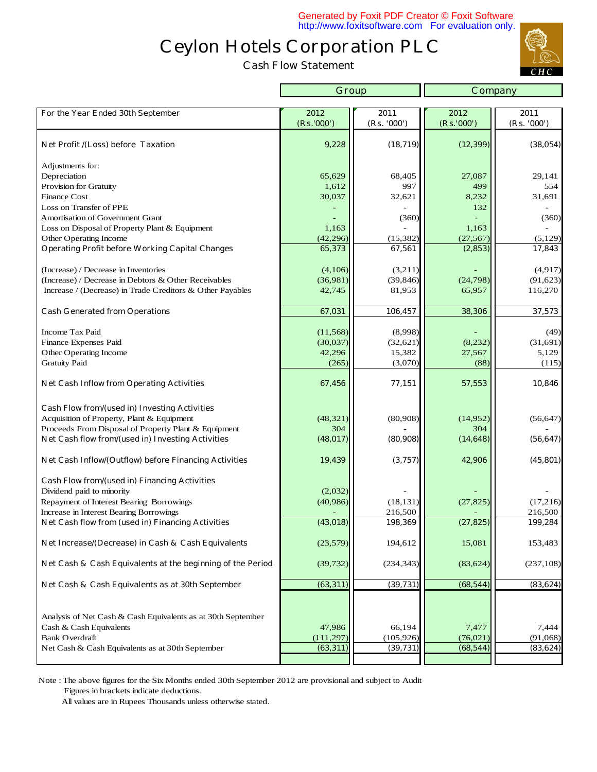**Cash Flow Statement** 

r



|                                                                           | Group                   |                         | <b>Company</b>         |                       |
|---------------------------------------------------------------------------|-------------------------|-------------------------|------------------------|-----------------------|
|                                                                           |                         |                         |                        |                       |
| For the Year Ended 30th September                                         | 2012                    | 2011                    | 2012                   | 2011                  |
|                                                                           | (Rs. '000')             | (Rs. '000')             | (Rs.'000')             | (Rs. '000')           |
| <b>Net Profit /(Loss) before Taxation</b>                                 | 9,228                   | (18, 719)               | (12, 399)              | (38, 054)             |
| Adjustments for:                                                          |                         |                         |                        |                       |
| Depreciation                                                              | 65,629                  | 68,405                  | 27,087                 | 29,141                |
| Provision for Gratuity                                                    | 1,612                   | 997                     | 499                    | 554                   |
| <b>Finance Cost</b>                                                       | 30,037                  | 32,621                  | 8,232                  | 31,691                |
| Loss on Transfer of PPE                                                   |                         |                         | 132                    |                       |
| <b>Amortisation of Government Grant</b>                                   |                         | (360)                   |                        | (360)                 |
| Loss on Disposal of Property Plant & Equipment                            | 1,163                   |                         | 1,163                  |                       |
| Other Operating Income                                                    | (42, 296)               | (15, 382)               | (27, 567)              | (5, 129)              |
| <b>Operating Profit before Working Capital Changes</b>                    | 65,373                  | 67,561                  | (2, 853)               | 17,843                |
| (Increase) / Decrease in Inventories                                      | (4,106)                 | (3,211)                 |                        | (4,917)               |
| (Increase) / Decrease in Debtors & Other Receivables                      | (36,981)                | (39, 846)               | (24, 798)              | (91, 623)             |
| Increase / (Decrease) in Trade Creditors & Other Payables                 | 42,745                  | 81,953                  | 65,957                 | 116,270               |
| <b>Cash Generated from Operations</b>                                     | 67,031                  | 106,457                 | 38,306                 | 37,573                |
|                                                                           |                         |                         |                        |                       |
| <b>Income Tax Paid</b>                                                    | (11, 568)               | (8,998)                 |                        | (49)                  |
| Finance Expenses Paid                                                     | (30,037)                | (32, 621)               | (8,232)                | (31,691)              |
| Other Operating Income                                                    | 42,296                  | 15,382                  | 27,567                 | 5,129                 |
| <b>Gratuity Paid</b>                                                      | (265)                   | (3,070)                 | (88)                   | (115)                 |
| <b>Net Cash Inflow from Operating Activities</b>                          | 67,456                  | 77,151                  | 57,553                 | 10,846                |
| Cash Flow from/(used in) Investing Activities                             |                         |                         |                        |                       |
| Acquisition of Property, Plant & Equipment                                | (48, 321)               | (80,908)                | (14, 952)              | (56, 647)             |
| Proceeds From Disposal of Property Plant & Equipment                      | 304                     |                         | 304                    |                       |
| Net Cash flow from/(used in) Investing Activities                         | (48, 017)               | (80,908)                | (14, 648)              | (56, 647)             |
| Net Cash Inflow/(Outflow) before Financing Activities                     | 19,439                  | (3,757)                 | 42,906                 | (45, 801)             |
| <b>Cash Flow from/(used in) Financing Activities</b>                      |                         |                         |                        |                       |
| Dividend paid to minority                                                 | (2,032)                 |                         |                        |                       |
| Repayment of Interest Bearing Borrowings                                  | (40, 986)               | (18, 131)               | (27, 825)              | (17,216)              |
| Increase in Interest Bearing Borrowings                                   |                         | 216,500                 |                        | 216,500               |
| Net Cash flow from (used in) Financing Activities                         | (43, 018)               | 198,369                 | (27, 825)              | 199,284               |
| Net Increase/(Decrease) in Cash & Cash Equivalents                        | (23, 579)               | 194,612                 | 15,081                 | 153,483               |
| Net Cash & Cash Equivalents at the beginning of the Period                | (39, 732)               | (234, 343)              | (83, 624)              | (237, 108)            |
| Net Cash & Cash Equivalents as at 30th September                          | (63,311)                | (39, 731)               | (68, 544)              | (83, 624)             |
|                                                                           |                         |                         |                        |                       |
|                                                                           |                         |                         |                        |                       |
| Analysis of Net Cash & Cash Equivalents as at 30th September              |                         |                         |                        |                       |
| Cash & Cash Equivalents                                                   | 47,986                  | 66,194                  | 7,477                  | 7,444                 |
| <b>Bank Overdraft</b><br>Net Cash & Cash Equivalents as at 30th September | (111, 297)<br>(63, 311) | (105, 926)<br>(39, 731) | (76, 021)<br>(68, 544) | (91,068)<br>(83, 624) |
|                                                                           |                         |                         |                        |                       |

Note : The above figures for the Six Months ended 30th September 2012 are provisional and subject to Audit Figures in brackets indicate deductions.

All values are in Rupees Thousands unless otherwise stated.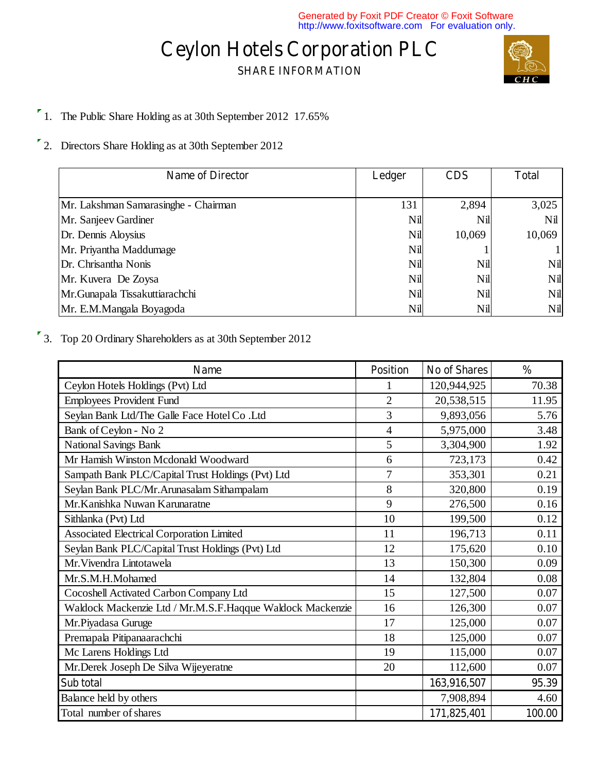## **SHARE INFORMATION**



- <sup>1</sup> 1. The Public Share Holding as at 30th September 2012 17.65%
- 2. Directors Share Holding as at 30th September 2012

| <b>Name of Director</b>              | Ledger | <b>CDS</b> | <b>Total</b> |
|--------------------------------------|--------|------------|--------------|
|                                      |        |            |              |
| Mr. Lakshman Samarasinghe - Chairman | 131    | 2,894      | 3,025        |
| Mr. Sanjeev Gardiner                 | Nil    | Nil        | Nil          |
| Dr. Dennis Aloysius                  | Nil    | 10,069     | 10,069       |
| Mr. Priyantha Maddumage              | Nil    |            |              |
| Dr. Chrisantha Nonis                 | Nil    | Nil        | Nil          |
| Mr. Kuvera De Zoysa                  | Nil    | Nil        | Nil          |
| Mr.Gunapala Tissakuttiarachchi       | Nil    | Nil        | Nil          |
| Mr. E.M.Mangala Boyagoda             | Nil    | Nil        | Nil          |

3. Top 20 Ordinary Shareholders as at 30th September 2012

| <b>Name</b>                                               | <b>Position</b> | <b>No of Shares</b> | $\frac{0}{0}$ |
|-----------------------------------------------------------|-----------------|---------------------|---------------|
| Ceylon Hotels Holdings (Pvt) Ltd                          |                 | 120,944,925         | 70.38         |
| <b>Employees Provident Fund</b>                           | $\overline{2}$  | 20,538,515          | 11.95         |
| Seylan Bank Ltd/The Galle Face Hotel Co .Ltd              | $\overline{3}$  | 9,893,056           | 5.76          |
| Bank of Ceylon - No 2                                     | $\overline{4}$  | 5,975,000           | 3.48          |
| <b>National Savings Bank</b>                              | 5               | 3,304,900           | 1.92          |
| Mr Hamish Winston Mcdonald Woodward                       | 6               | 723,173             | 0.42          |
| Sampath Bank PLC/Capital Trust Holdings (Pvt) Ltd         | $\overline{7}$  | 353,301             | 0.21          |
| Seylan Bank PLC/Mr.Arunasalam Sithampalam                 | 8               | 320,800             | 0.19          |
| Mr. Kanishka Nuwan Karunaratne                            | 9               | 276,500             | 0.16          |
| Sithlanka (Pvt) Ltd                                       | 10              | 199,500             | 0.12          |
| <b>Associated Electrical Corporation Limited</b>          | 11              | 196,713             | 0.11          |
| Seylan Bank PLC/Capital Trust Holdings (Pvt) Ltd          | 12              | 175,620             | 0.10          |
| Mr. Vivendra Lintotawela                                  | 13              | 150,300             | 0.09          |
| Mr.S.M.H.Mohamed                                          | 14              | 132,804             | 0.08          |
| Cocoshell Activated Carbon Company Ltd                    | 15              | 127,500             | 0.07          |
| Waldock Mackenzie Ltd / Mr.M.S.F.Haqque Waldock Mackenzie | 16              | 126,300             | 0.07          |
| Mr.Piyadasa Guruge                                        | 17              | 125,000             | 0.07          |
| Premapala Pitipanaarachchi                                | 18              | 125,000             | 0.07          |
| Mc Larens Holdings Ltd                                    | 19              | 115,000             | 0.07          |
| Mr.Derek Joseph De Silva Wijeyeratne                      | 20              | 112,600             | 0.07          |
| Sub total                                                 |                 | 163,916,507         | 95.39         |
| Balance held by others                                    |                 | 7,908,894           | 4.60          |
| Total number of shares                                    |                 | 171,825,401         | 100.00        |